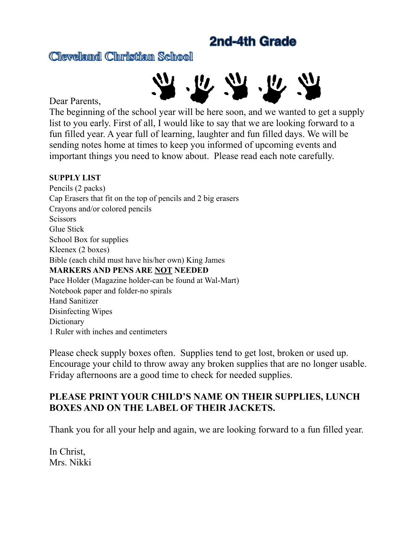## **2nd-4th Grade**

**Cleveland Christian School**



Dear Parents,

The beginning of the school year will be here soon, and we wanted to get a supply list to you early. First of all, I would like to say that we are looking forward to a fun filled year. A year full of learning, laughter and fun filled days. We will be sending notes home at times to keep you informed of upcoming events and important things you need to know about. Please read each note carefully.

## **SUPPLY LIST**

Pencils (2 packs) Cap Erasers that fit on the top of pencils and 2 big erasers Crayons and/or colored pencils **Scissors** Glue Stick School Box for supplies Kleenex (2 boxes) Bible (each child must have his/her own) King James **MARKERS AND PENS ARE NOT NEEDED** Pace Holder (Magazine holder-can be found at Wal-Mart) Notebook paper and folder-no spirals Hand Sanitizer Disinfecting Wipes **Dictionary** 1 Ruler with inches and centimeters

Please check supply boxes often. Supplies tend to get lost, broken or used up. Encourage your child to throw away any broken supplies that are no longer usable. Friday afternoons are a good time to check for needed supplies.

## **PLEASE PRINT YOUR CHILD'S NAME ON THEIR SUPPLIES, LUNCH BOXES AND ON THE LABEL OF THEIR JACKETS.**

Thank you for all your help and again, we are looking forward to a fun filled year.

In Christ, Mrs. Nikki